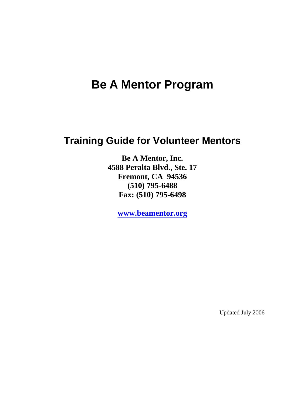# **Be A Mentor Program**

# **Training Guide for Volunteer Mentors**

**Be A Mentor, Inc. 4588 Peralta Blvd., Ste. 17 Fremont, CA 94536 (510) 795-6488 Fax: (510) 795-6498** 

**[www.beamentor.org](http://www.beamentor.org/)**

Updated July 2006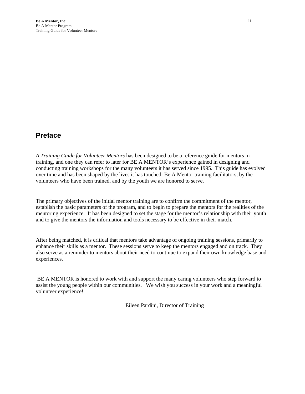### **Preface**

*A Training Guide for Volunteer Mentors* has been designed to be a reference guide for mentors in training, and one they can refer to later for BE A MENTOR's experience gained in designing and conducting training workshops for the many volunteers it has served since 1995. This guide has evolved over time and has been shaped by the lives it has touched: Be A Mentor training facilitators, by the volunteers who have been trained, and by the youth we are honored to serve.

The primary objectives of the initial mentor training are to confirm the commitment of the mentor, establish the basic parameters of the program, and to begin to prepare the mentors for the realities of the mentoring experience. It has been designed to set the stage for the mentor's relationship with their youth and to give the mentors the information and tools necessary to be effective in their match.

After being matched, it is critical that mentors take advantage of ongoing training sessions, primarily to enhance their skills as a mentor. These sessions serve to keep the mentors engaged and on track. They also serve as a reminder to mentors about their need to continue to expand their own knowledge base and experiences.

BE A MENTOR is honored to work with and support the many caring volunteers who step forward to assist the young people within our communities. We wish you success in your work and a meaningful volunteer experience!

Eileen Pardini, Director of Training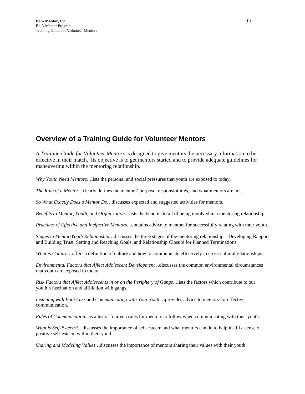### **Overview of a Training Guide for Volunteer Mentors**

*A Training Guide for Volunteer Mentors* is designed to give mentors the necessary information to be effective in their match. Its objective is to get mentors started and to provide adequate guidelines for maneuvering within the mentoring relationship.

*Why Youth Need Mentors…*lists the personal and social pressures that youth are exposed to today.

*The Role of a Mentor…*clearly defines the mentors' purpose, responsibilities, and what mentors are not.

*So What Exactly Does a Mentor Do…*discusses expected and suggested activities for mentors.

*Benefits to Mentor, Youth, and Organization…*lists the benefits to all of being involved in a mentoring relationship.

*Practices of Effective and Ineffective Mentors…*contains advice to mentors for successfully relating with their youth.

*Stages in Mentor/Youth Relationship…*discusses the three stages of the mentoring relationship – Developing Rapport and Building Trust, Setting and Reaching Goals, and Relationship Closure for Planned Terminations.

*What is Culture…*offers a definition of culture and how to communicate effectively in cross-cultural relationships.

*Environmental Factors that Affect Adolescent Development…*discusses the common environmental circumstances that youth are exposed to today.

*Risk Factors that Affect Adolescents in or on the Periphery of Gangs…*lists the factors which contribute to our youth's fascination and affiliation with gangs.

*Listening with Both Ears* and *Communicating with Your Youth…*provides advice to mentors for effective communication.

*Rules of Communication…*is a list of fourteen rules for mentors to follow when communicating with their youth.

*What is Self-Esteem?…*discusses the importance of self-esteem and what mentors can do to help instill a sense of positive self-esteem within their youth.

*Sharing and Modeling Values…*discusses the importance of mentors sharing their values with their youth.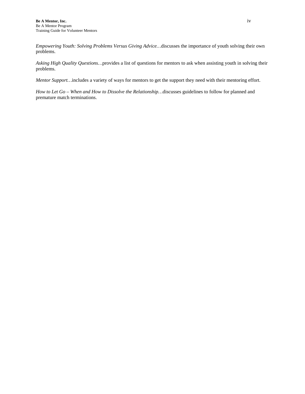*Empowering Youth: Solving Problems Versus Giving Advice…*discusses the importance of youth solving their own problems.

*Asking High Quality Questions…*provides a list of questions for mentors to ask when assisting youth in solving their problems.

*Mentor Support…*includes a variety of ways for mentors to get the support they need with their mentoring effort.

*How to Let Go – When and How to Dissolve the Relationship…*discusses guidelines to follow for planned and premature match terminations.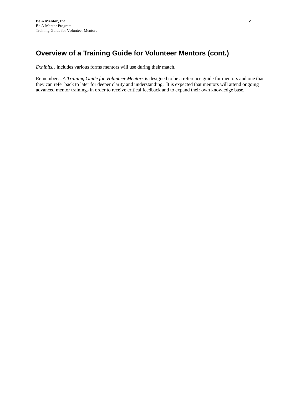## **Overview of a Training Guide for Volunteer Mentors (cont.)**

*Exhibits…*includes various forms mentors will use during their match.

Remember…*A Training Guide for Volunteer Mentors* is designed to be a reference guide for mentors and one that they can refer back to later for deeper clarity and understanding. It is expected that mentors will attend ongoing advanced mentor trainings in order to receive critical feedback and to expand their own knowledge base.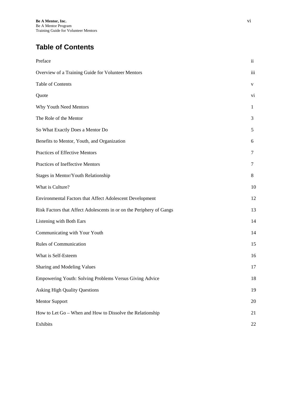## **Table of Contents**

| Preface                                                              | $\ddot{\mathbf{i}}$ |
|----------------------------------------------------------------------|---------------------|
| Overview of a Training Guide for Volunteer Mentors                   | iii                 |
| Table of Contents                                                    | V                   |
| Quote                                                                | vi                  |
| Why Youth Need Mentors                                               | $\mathbf{1}$        |
| The Role of the Mentor                                               | 3                   |
| So What Exactly Does a Mentor Do                                     | 5                   |
| Benefits to Mentor, Youth, and Organization                          | 6                   |
| Practices of Effective Mentors                                       | 7                   |
| Practices of Ineffective Mentors                                     | 7                   |
| Stages in Mentor/Youth Relationship                                  | 8                   |
| What is Culture?                                                     | 10                  |
| Environmental Factors that Affect Adolescent Development             | 12                  |
| Risk Factors that Affect Adolescents in or on the Periphery of Gangs | 13                  |
| Listening with Both Ears                                             | 14                  |
| Communicating with Your Youth                                        | 14                  |
| Rules of Communication                                               | 15                  |
| What is Self-Esteem                                                  | 16                  |
| Sharing and Modeling Values                                          | 17                  |
| Empowering Youth: Solving Problems Versus Giving Advice              | 18                  |
| <b>Asking High Quality Questions</b>                                 | 19                  |
| <b>Mentor Support</b>                                                | 20                  |
| How to Let Go - When and How to Dissolve the Relationship            | 21                  |
| Exhibits                                                             | 22                  |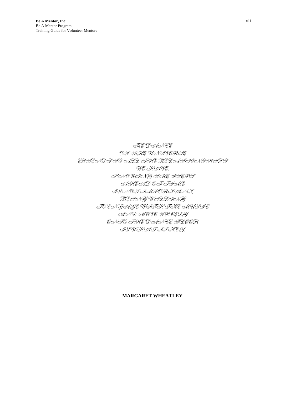ThE DANCE OF THE UNIVERSE EXTENDS TO ALL THE RELATIONSHIPS WE HAVE. KNOWING THE STEPS AHEAD OF TIME IS NOT IMPORTANT; BEING WILLING TO ENGAGE WITH THE MUSIC AND MOVE FREELY ONTO THE DANCE FLOOR IS WHAT IS KEY.

#### **MARGARET WHEATLEY**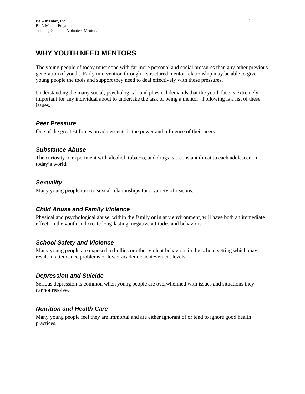## **WHY YOUTH NEED MENTORS**

The young people of today must cope with far more personal and social pressures than any other previous generation of youth. Early intervention through a structured mentor relationship may be able to give young people the tools and support they need to deal effectively with these pressures.

Understanding the many social, psychological, and physical demands that the youth face is extremely important for any individual about to undertake the task of being a mentor. Following is a list of these issues.

#### *Peer Pressure*

One of the greatest forces on adolescents is the power and influence of their peers.

#### *Substance Abuse*

The curiosity to experiment with alcohol, tobacco, and drugs is a constant threat to each adolescent in today's world.

#### *Sexuality*

Many young people turn to sexual relationships for a variety of reasons.

### *Child Abuse and Family Violence*

Physical and psychological abuse, within the family or in any environment, will have both an immediate effect on the youth and create long-lasting, negative attitudes and behaviors.

### *School Safety and Violence*

Many young people are exposed to bullies or other violent behaviors in the school setting which may result in attendance problems or lower academic achievement levels.

### *Depression and Suicide*

Serious depression is common when young people are overwhelmed with issues and situations they cannot resolve.

### *Nutrition and Health Care*

Many young people feel they are immortal and are either ignorant of or tend to ignore good health practices.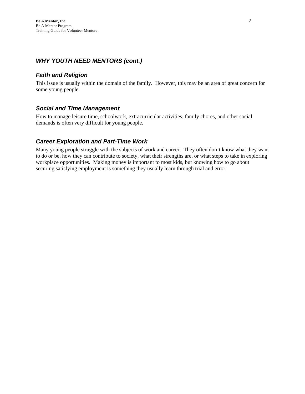#### *WHY YOUTH NEED MENTORS (cont.)*

#### *Faith and Religion*

This issue is usually within the domain of the family. However, this may be an area of great concern for some young people.

#### *Social and Time Management*

How to manage leisure time, schoolwork, extracurricular activities, family chores, and other social demands is often very difficult for young people.

#### *Career Exploration and Part-Time Work*

Many young people struggle with the subjects of work and career. They often don't know what they want to do or be, how they can contribute to society, what their strengths are, or what steps to take in exploring workplace opportunities. Making money is important to most kids, but knowing how to go about securing satisfying employment is something they usually learn through trial and error.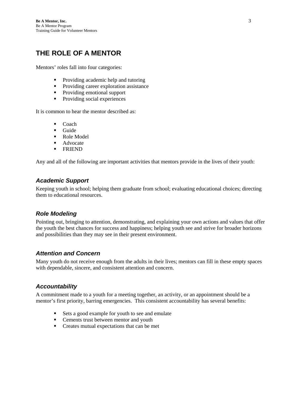## **THE ROLE OF A MENTOR**

Mentors' roles fall into four categories:

- Providing academic help and tutoring
- **Providing career exploration assistance**
- Providing emotional support
- Providing social experiences

It is common to hear the mentor described as:

- $\blacksquare$  Coach
- **Guide**
- Role Model
- Advocate
- **-** FRIEND

Any and all of the following are important activities that mentors provide in the lives of their youth:

#### *Academic Support*

Keeping youth in school; helping them graduate from school; evaluating educational choices; directing them to educational resources.

#### *Role Modeling*

Pointing out, bringing to attention, demonstrating, and explaining your own actions and values that offer the youth the best chances for success and happiness; helping youth see and strive for broader horizons and possibilities than they may see in their present environment.

#### *Attention and Concern*

Many youth do not receive enough from the adults in their lives; mentors can fill in these empty spaces with dependable, sincere, and consistent attention and concern.

#### *Accountability*

A commitment made to a youth for a meeting together, an activity, or an appointment should be a mentor's first priority, barring emergencies. This consistent accountability has several benefits:

- Sets a good example for youth to see and emulate
- **Cements trust between mentor and youth**
- Creates mutual expectations that can be met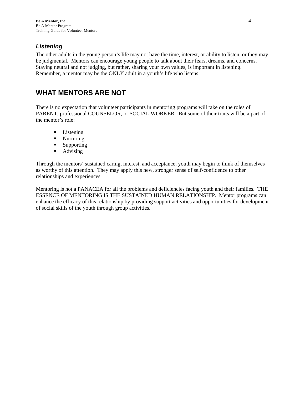### *Listening*

The other adults in the young person's life may not have the time, interest, or ability to listen, or they may be judgmental. Mentors can encourage young people to talk about their fears, dreams, and concerns. Staying neutral and not judging, but rather, sharing your own values, is important in listening. Remember, a mentor may be the ONLY adult in a youth's life who listens.

## **WHAT MENTORS ARE NOT**

There is no expectation that volunteer participants in mentoring programs will take on the roles of PARENT, professional COUNSELOR, or SOCIAL WORKER. But some of their traits will be a part of the mentor's role:

- **Listening**
- Nurturing
- **Supporting**
- Advising

Through the mentors' sustained caring, interest, and acceptance, youth may begin to think of themselves as worthy of this attention. They may apply this new, stronger sense of self-confidence to other relationships and experiences.

Mentoring is not a PANACEA for all the problems and deficiencies facing youth and their families. THE ESSENCE OF MENTORING IS THE SUSTAINED HUMAN RELATIONSHIP. Mentor programs can enhance the efficacy of this relationship by providing support activities and opportunities for development of social skills of the youth through group activities.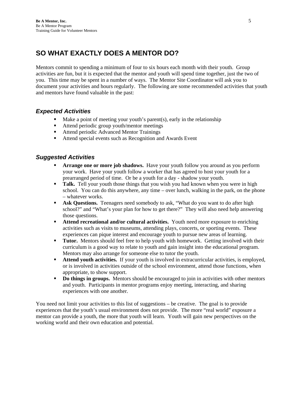## **SO WHAT EXACTLY DOES A MENTOR DO?**

Mentors commit to spending a minimum of four to six hours each month with their youth. Group activities are fun, but it is expected that the mentor and youth will spend time together, just the two of you. This time may be spent in a number of ways. The Mentor Site Coordinator will ask you to document your activities and hours regularly. The following are some recommended activities that youth and mentors have found valuable in the past:

### *Expected Activities*

- $\blacksquare$  Make a point of meeting your youth's parent(s), early in the relationship
- Attend periodic group youth/mentor meetings
- Attend periodic Advanced Mentor Trainings
- Attend special events such as Recognition and Awards Event

### *Suggested Activities*

- **Arrange one or more job shadows.** Have your youth follow you around as you perform your work. Have your youth follow a worker that has agreed to host your youth for a prearranged period of time. Or be a youth for a day - shadow your youth.
- **Talk.** Tell your youth those things that you wish you had known when you were in high school. You can do this anywhere, any time – over lunch, walking in the park, on the phone – whatever works.
- **Ask Questions.** Teenagers need somebody to ask, "What do you want to do after high school?" and "What's your plan for how to get there?" They will also need help answering those questions.
- **Attend recreational and/or cultural activities.** Youth need more exposure to enriching activities such as visits to museums, attending plays, concerts, or sporting events. These experiences can pique interest and encourage youth to pursue new areas of learning.
- **Tutor.** Mentors should feel free to help youth with homework. Getting involved with their curriculum is a good way to relate to youth and gain insight into the educational program. Mentors may also arrange for someone else to tutor the youth.
- **Attend youth activities.** If your youth is involved in extracurricular activities, is employed, or is involved in activities outside of the school environment, attend those functions, when appropriate, to show support.
- **Do things in groups.** Mentors should be encouraged to join in activities with other mentors and youth. Participants in mentor programs enjoy meeting, interacting, and sharing experiences with one another.

You need not limit your activities to this list of suggestions – be creative. The goal is to provide experiences that the youth's usual environment does not provide. The more "real world" exposure a mentor can provide a youth, the more that youth will learn. Youth will gain new perspectives on the working world and their own education and potential.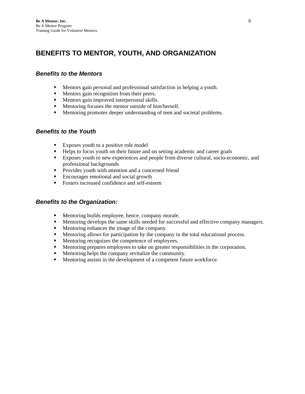### **BENEFITS TO MENTOR, YOUTH, AND ORGANIZATION**

#### *Benefits to the Mentors*

- Mentors gain personal and professional satisfaction in helping a youth.
- **Mentors gain recognition from their peers.**
- **Mentors gain improved interpersonal skills.**
- **Mentoring focuses the mentor outside of him/herself.**
- **Mentoring promotes deeper understanding of teen and societal problems.**

#### *Benefits to the Youth*

- Exposes youth to a positive role model
- Helps to focus youth on their future and on setting academic and career goals
- Exposes youth to new experiences and people from diverse cultural, socio-economic, and professional backgrounds
- Provides youth with attention and a concerned friend
- Encourages emotional and social growth
- Fosters increased confidence and self-esteem

#### *Benefits to the Organization:*

- **Mentoring builds employee, hence, company morale.**
- **Mentoring develops the same skills needed for successful and effective company managers.**
- **Mentoring enhances the image of the company.**
- **Mentoring allows for participation by the company in the total educational process.**
- **Mentoring recognizes the competence of employees.**
- Mentoring prepares employees to take on greater responsibilities in the corporation.
- Mentoring helps the company revitalize the community.
- Mentoring assists in the development of a competent future workforce.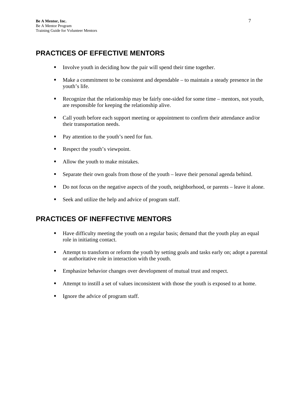## **PRACTICES OF EFFECTIVE MENTORS**

- Involve youth in deciding how the pair will spend their time together.
- Make a commitment to be consistent and dependable to maintain a steady presence in the youth's life.
- Recognize that the relationship may be fairly one-sided for some time mentors, not youth, are responsible for keeping the relationship alive.
- Call youth before each support meeting or appointment to confirm their attendance and/or their transportation needs.
- Pay attention to the youth's need for fun.
- Respect the youth's viewpoint.
- Allow the youth to make mistakes.
- Separate their own goals from those of the youth leave their personal agenda behind.
- Do not focus on the negative aspects of the youth, neighborhood, or parents leave it alone.
- Seek and utilize the help and advice of program staff.

### **PRACTICES OF INEFFECTIVE MENTORS**

- Have difficulty meeting the youth on a regular basis; demand that the youth play an equal role in initiating contact.
- Attempt to transform or reform the youth by setting goals and tasks early on; adopt a parental or authoritative role in interaction with the youth.
- **Emphasize behavior changes over development of mutual trust and respect.**
- Attempt to instill a set of values inconsistent with those the youth is exposed to at home.
- Ignore the advice of program staff.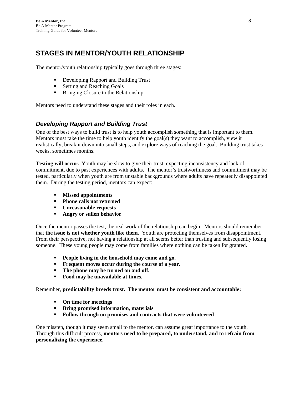## **STAGES IN MENTOR/YOUTH RELATIONSHIP**

The mentor/youth relationship typically goes through three stages:

- Developing Rapport and Building Trust
- Setting and Reaching Goals
- **Bringing Closure to the Relationship**

Mentors need to understand these stages and their roles in each.

### *Developing Rapport and Building Trust*

One of the best ways to build trust is to help youth accomplish something that is important to them. Mentors must take the time to help youth identify the goal(s) they want to accomplish, view it realistically, break it down into small steps, and explore ways of reaching the goal. Building trust takes weeks, sometimes months.

**Testing will occur.** Youth may be slow to give their trust, expecting inconsistency and lack of commitment, due to past experiences with adults. The mentor's trustworthiness and commitment may be tested, particularly when youth are from unstable backgrounds where adults have repeatedly disappointed them. During the testing period, mentors can expect:

- **Missed appointments**
- **Phone calls not returned**
- **Unreasonable requests**
- **Angry or sullen behavior**

Once the mentor passes the test, the real work of the relationship can begin. Mentors should remember that **the issue is not whether youth like them.** Youth are protecting themselves from disappointment. From their perspective, not having a relationship at all seems better than trusting and subsequently losing someone. These young people may come from families where nothing can be taken for granted.

- **People living in the household may come and go.**
- **Frequent moves occur during the course of a year.**
- **The phone may be turned on and off.**
- **Food may be unavailable at times.**

Remember, **predictability breeds trust. The mentor must be consistent and accountable:** 

- **On time for meetings**
- **Bring promised information, materials**
- **Follow through on promises and contracts that were volunteered**

One misstep, though it may seem small to the mentor, can assume great importance to the youth. Through this difficult process, **mentors need to be prepared, to understand, and to refrain from personalizing the experience.**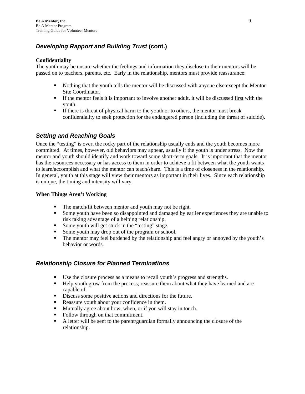### *Developing Rapport and Building Trust* **(cont.)**

#### **Confidentiality**

The youth may be unsure whether the feelings and information they disclose to their mentors will be passed on to teachers, parents, etc. Early in the relationship, mentors must provide reassurance:

- Nothing that the youth tells the mentor will be discussed with anyone else except the Mentor Site Coordinator.
- If the mentor feels it is important to involve another adult, it will be discussed first with the youth.
- If there is threat of physical harm to the youth or to others, the mentor must break confidentiality to seek protection for the endangered person (including the threat of suicide).

### *Setting and Reaching Goals*

Once the "testing" is over, the rocky part of the relationship usually ends and the youth becomes more committed. At times, however, old behaviors may appear, usually if the youth is under stress. Now the mentor and youth should identify and work toward some short-term goals. It is important that the mentor has the resources necessary or has access to them in order to achieve a fit between what the youth wants to learn/accomplish and what the mentor can teach/share. This is a time of closeness in the relationship. In general, youth at this stage will view their mentors as important in their lives. Since each relationship is unique, the timing and intensity will vary.

#### **When Things Aren't Working**

- The match/fit between mentor and youth may not be right.
- Some youth have been so disappointed and damaged by earlier experiences they are unable to risk taking advantage of a helping relationship.
- Some youth will get stuck in the "testing" stage.
- Some youth may drop out of the program or school.
- The mentor may feel burdened by the relationship and feel angry or annoyed by the youth's behavior or words.

### *Relationship Closure for Planned Terminations*

- Use the closure process as a means to recall youth's progress and strengths.
- Help youth grow from the process; reassure them about what they have learned and are capable of.
- Discuss some positive actions and directions for the future.
- Reassure youth about your confidence in them.
- **Mutually agree about how, when, or if you will stay in touch.**
- Follow through on that commitment.
- A letter will be sent to the parent/guardian formally announcing the closure of the relationship.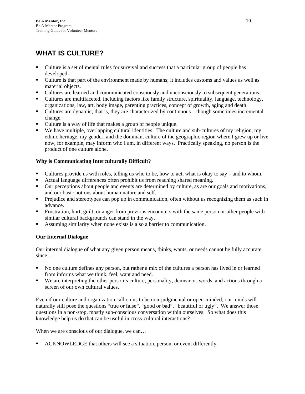## **WHAT IS CULTURE?**

- Culture is a set of mental rules for survival and success that a particular group of people has developed.
- Culture is that part of the environment made by humans; it includes customs and values as well as material objects.
- Cultures are learned and communicated consciously and unconsciously to subsequent generations.
- Cultures are multifaceted, including factors like family structure, spirituality, language, technology, organizations, law, art, body image, parenting practices, concept of growth, aging and death.
- Cultures are dynamic; that is, they are characterized by continuous though sometimes incremental change.
- Culture is a way of life that makes a group of people unique.
- We have multiple, overlapping cultural identities. The culture and sub-cultures of my religion, my ethnic heritage, my gender, and the dominant culture of the geographic region where I grew up or live now, for example, may inform who I am, in different ways. Practically speaking, no person is the product of one culture alone.

#### **Why is Communicating Interculturally Difficult?**

- Cultures provide us with roles, telling us who to be, how to act, what is okay to say and to whom.
- Actual language differences often prohibit us from reaching shared meaning.
- Our perceptions about people and events are determined by culture, as are our goals and motivations, and our basic notions about human nature and self.
- **Prejudice and stereotypes can pop up in communication, often without us recognizing them as such in** advance.
- Frustration, hurt, guilt, or anger from previous encounters with the same person or other people with similar cultural backgrounds can stand in the way.
- Assuming similarity when none exists is also a barrier to communication.

#### **Our Internal Dialogue**

Our internal dialogue of what any given person means, thinks, wants, or needs cannot be fully accurate since…

- No one culture defines any person, but rather a mix of the cultures a person has lived in or learned from informs what we think, feel, want and need.
- We are interpreting the other person's culture, personality, demeanor, words, and actions through a screen of our own cultural values.

Even if our culture and organization call on us to be non-judgmental or open-minded, our minds will naturally still pose the questions "true or false", "good or bad", "beautiful or ugly". We answer those questions in a non-stop, mostly sub-conscious conversation within ourselves. So what does this knowledge help us do that can be useful in cross-cultural interactions?

When we are conscious of our dialogue, we can...

ACKNOWLEDGE that others will see a situation, person, or event differently.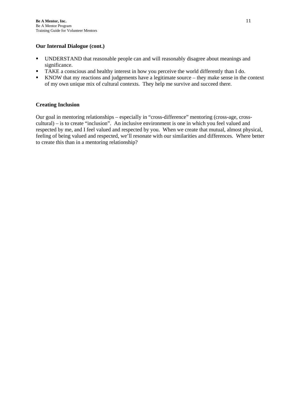#### **Our Internal Dialogue (cont.)**

- UNDERSTAND that reasonable people can and will reasonably disagree about meanings and significance.
- TAKE a conscious and healthy interest in how you perceive the world differently than I do.
- KNOW that my reactions and judgements have a legitimate source they make sense in the context of my own unique mix of cultural contexts. They help me survive and succeed there.

#### **Creating Inclusion**

Our goal in mentoring relationships – especially in "cross-difference" mentoring (cross-age, crosscultural) – is to create "inclusion". An inclusive environment is one in which you feel valued and respected by me, and I feel valued and respected by you. When we create that mutual, almost physical, feeling of being valued and respected, we'll resonate with our similarities and differences. Where better to create this than in a mentoring relationship?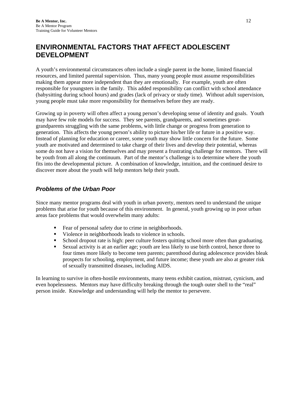## **ENVIRONMENTAL FACTORS THAT AFFECT ADOLESCENT DEVELOPMENT**

A youth's environmental circumstances often include a single parent in the home, limited financial resources, and limited parental supervision. Thus, many young people must assume responsibilities making them appear more independent than they are emotionally. For example, youth are often responsible for youngsters in the family. This added responsibility can conflict with school attendance (babysitting during school hours) and grades (lack of privacy or study time). Without adult supervision, young people must take more responsibility for themselves before they are ready.

Growing up in poverty will often affect a young person's developing sense of identity and goals. Youth may have few role models for success. They see parents, grandparents, and sometimes greatgrandparents struggling with the same problems, with little change or progress from generation to generation. This affects the young person's ability to picture his/her life or future in a positive way. Instead of planning for education or career, some youth may show little concern for the future. Some youth are motivated and determined to take charge of their lives and develop their potential, whereas some do not have a vision for themselves and may present a frustrating challenge for mentors. There will be youth from all along the continuum. Part of the mentor's challenge is to determine where the youth fits into the developmental picture. A combination of knowledge, intuition, and the continued desire to discover more about the youth will help mentors help their youth.

### *Problems of the Urban Poor*

Since many mentor programs deal with youth in urban poverty, mentors need to understand the unique problems that arise for youth because of this environment. In general, youth growing up in poor urban areas face problems that would overwhelm many adults:

- Fear of personal safety due to crime in neighborhoods.
- Violence in neighborhoods leads to violence in schools.
- School dropout rate is high: peer culture fosters quitting school more often than graduating.
- Sexual activity is at an earlier age; youth are less likely to use birth control, hence three to four times more likely to become teen parents; parenthood during adolescence provides bleak prospects for schooling, employment, and future income; these youth are also at greater risk of sexually transmitted diseases, including AIDS.

In learning to survive in often-hostile environments, many teens exhibit caution, mistrust, cynicism, and even hopelessness. Mentors may have difficulty breaking through the tough outer shell to the "real" person inside. Knowledge and understanding will help the mentor to persevere.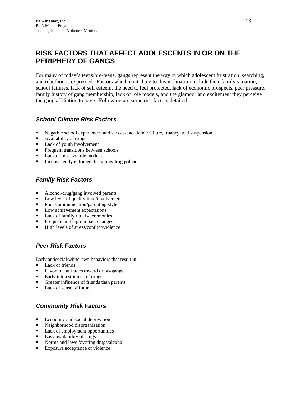### **RISK FACTORS THAT AFFECT ADOLESCENTS IN OR ON THE PERIPHERY OF GANGS**

For many of today's teens/pre-teens, gangs represent the way in which adolescent frustration, searching, and rebellion is expressed. Factors which contribute to this inclination include their family situation, school failures, lack of self esteem, the need to feel protected, lack of economic prospects, peer pressure, family history of gang membership, lack of role models, and the glamour and excitement they perceive the gang affiliation to have. Following are some risk factors detailed:

### *School Climate Risk Factors*

- Negative school experiences and success; academic failure, truancy, and suspension
- Availability of drugs
- **Lack of youth involvement**
- Frequent transitions between schools
- Lack of positive role models
- $\blacksquare$  Inconsistently enforced discipline/drug policies

### *Family Risk Factors*

- Alcohol/drug/gang involved parents
- Low level of quality time/involvement
- Poor communication/parenting style
- Low achievement expectations
- Lack of family rituals/ceremonies
- **Figure 1** Frequent and high impact changes
- High levels of stress/conflict/violence

### *Peer Risk Factors*

Early antisocial/withdrawn behaviors that result in:

- **Lack of friends**
- Favorable attitudes toward drugs/gangs
- Early interest in/use of drugs
- Greater influence of friends than parents
- Lack of sense of future

### *Community Risk Factors*

- **Exercise Exercise Exercise 2** Economic and social deprivation
- Neighborhood disorganization
- **Lack of employment opportunities**
- **Easy availability of drugs**
- Norms and laws favoring drugs/alcohol
- Exposure acceptance of violence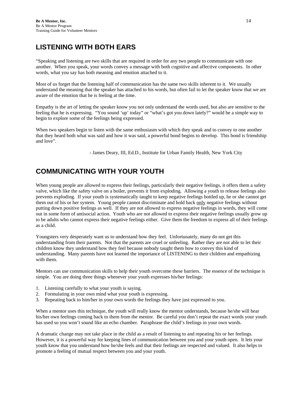## **LISTENING WITH BOTH EARS**

"Speaking and listening are two skills that are required in order for any two people to communicate with one another. When you speak, your words convey a message with both cognitive and affective components. In other words, what you say has both meaning and emotion attached to it.

Most of us forget that the listening half of communication has the same two skills inherent to it. We usually understand the meaning that the speaker has attached to his words, but often fail to let the speaker know that we are aware of the emotion that he is feeling at the time.

Empathy is the art of letting the speaker know you not only understand the words used, but also are sensitive to the feeling that he is expressing. "You sound 'up' today" or "what's got you down lately?" would be a simple way to begin to explore some of the feelings being expressed.

When two speakers begin to listen with the same enthusiasm with which they speak and to convey to one another that they heard both what was said and how it was said, a powerful bond begins to develop. This bond is friendship and love".

- James Deary, III, Ed.D., Institute for Urban Family Health, New York City

## **COMMUNICATING WITH YOUR YOUTH**

When young people are allowed to express their feelings, particularly their negative feelings, it offers them a safety valve, which like the safety valve on a boiler, prevents it from exploding. Allowing a youth to release feelings also prevents exploding. If your youth is systematically taught to keep negative feelings bottled up, he or she cannot get them out of his or her system. Young people cannot discriminate and hold back only negative feelings without putting down positive feelings as well. If they are not allowed to express negative feelings in words, they will come out in some form of antisocial action. Youth who are not allowed to express their negative feelings usually grow up to be adults who cannot express their negative feelings either. Give them the freedom to express all of their feelings as a child.

Youngsters very desperately want us to understand how they feel. Unfortunately, many do not get this understanding from their parents. Not that the parents are cruel or unfeeling. Rather they are not able to let their children know they understand how they feel because nobody taught them how to convey this kind of understanding. Many parents have not learned the importance of LISTENING to their children and empathizing with them.

Mentors can use communication skills to help their youth overcome these barriers. The essence of the technique is simple. You are doing three things whenever your youth expresses his/her feelings:

- 1. Listening carefully to what your youth is saying.
- 2. Formulating in your own mind what your youth is expressing.
- 3. Repeating back to him/her in your own words the feelings they have just expressed to you.

When a mentor uses this technique, the youth will really know the mentor understands, because he/she will hear his/her own feelings coming back to them from the mentor. Be careful you don't repeat the exact words your youth has used so you won't sound like an echo chamber. Paraphrase the child's feelings in your own words.

A dramatic change may not take place in the child as a result of listening to and repeating his or her feelings. However, it is a powerful way for keeping lines of communication between you and your youth open. It lets your youth know that you understand how he/she feels and that their feelings are respected and valued. It also helps to promote a feeling of mutual respect between you and your youth.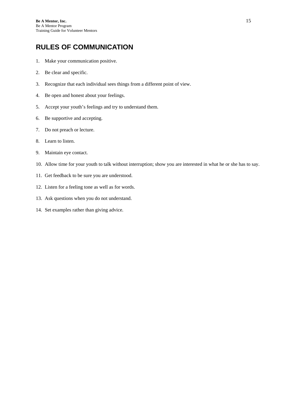## **RULES OF COMMUNICATION**

- 1. Make your communication positive.
- 2. Be clear and specific.
- 3. Recognize that each individual sees things from a different point of view.
- 4. Be open and honest about your feelings.
- 5. Accept your youth's feelings and try to understand them.
- 6. Be supportive and accepting.
- 7. Do not preach or lecture.
- 8. Learn to listen.
- 9. Maintain eye contact.
- 10. Allow time for your youth to talk without interruption; show you are interested in what he or she has to say.
- 11. Get feedback to be sure you are understood.
- 12. Listen for a feeling tone as well as for words.
- 13. Ask questions when you do not understand.
- 14. Set examples rather than giving advice.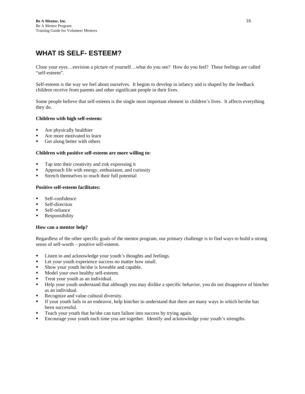## **WHAT IS SELF- ESTEEM?**

Close your eyes…envision a picture of yourself…what do you see? How do you feel? These feelings are called "self-esteem".

Self-esteem is the way we feel about ourselves. It begins to develop in infancy and is shaped by the feedback children receive from parents and other significant people in their lives.

Some people believe that self-esteem is the single most important element in children's lives. It affects everything they do.

#### **Children with high self-esteem:**

- Are physically healthier
- Are more motivated to learn
- Get along better with others

#### **Children with positive self-esteem are more willing to:**

- Tap into their creativity and risk expressing it
- Approach life with energy, enthusiasm, and curiosity
- Stretch themselves to reach their full potential

#### **Positive self-esteem facilitates:**

- Self-confidence
- Self-direction
- Self-reliance
- Responsibility

#### **How can a mentor help?**

Regardless of the other specific goals of the mentor program, our primary challenge is to find ways to build a strong sense of self-worth – positive self-esteem.

- **EXECUTE:** Listen to and acknowledge your youth's thoughts and feelings.
- **Let your youth experience success no matter how small.**
- Show your youth he/she is loveable and capable.
- **Model your own healthy self-esteem.**
- Treat your youth as an individual.
- Help your youth understand that although you may dislike a specific behavior, you do not disapprove of him/her as an individual.
- Recognize and value cultural diversity.
- If your youth fails in an endeavor, help him/her to understand that there are many ways in which he/she has been successful.
- Teach your youth that he/she can turn failure into success by trying again.
- Encourage your youth each time you are together. Identify and acknowledge your youth's strengths.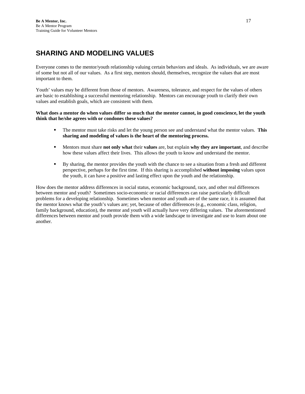## **SHARING AND MODELING VALUES**

Everyone comes to the mentor/youth relationship valuing certain behaviors and ideals. As individuals, we are aware of some but not all of our values. As a first step, mentors should, themselves, recognize the values that are most important to them.

Youth' values may be different from those of mentors. Awareness, tolerance, and respect for the values of others are basic to establishing a successful mentoring relationship. Mentors can encourage youth to clarify their own values and establish goals, which are consistent with them.

#### **What does a mentor do when values differ so much that the mentor cannot, in good conscience, let the youth think that he/she agrees with or condones these values?**

- The mentor must take risks and let the young person see and understand what the mentor values. **This sharing and modeling of values is the heart of the mentoring process.**
- Mentors must share **not only what** their **values** are, but explain **why they are important**, and describe how these values affect their lives. This allows the youth to know and understand the mentor.
- By sharing, the mentor provides the youth with the chance to see a situation from a fresh and different perspective, perhaps for the first time. If this sharing is accomplished **without imposing** values upon the youth, it can have a positive and lasting effect upon the youth and the relationship.

How does the mentor address differences in social status, economic background, race, and other real differences between mentor and youth? Sometimes socio-economic or racial differences can raise particularly difficult problems for a developing relationship. Sometimes when mentor and youth are of the same race, it is assumed that the mentor knows what the youth's values are; yet, because of other differences (e.g., economic class, religion, family background, education), the mentor and youth will actually have very differing values. The aforementioned differences between mentor and youth provide them with a wide landscape to investigate and use to learn about one another.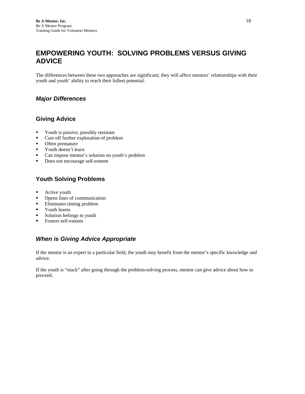## **EMPOWERING YOUTH: SOLVING PROBLEMS VERSUS GIVING ADVICE**

The differences between these two approaches are significant; they will affect mentors' relationships with their youth and youth' ability to reach their fullest potential.

### *Major Differences*

### **Giving Advice**

- Youth is passive, possibly resistant
- Cuts off further exploration of problem
- **•** Often premature
- **•** Youth doesn't learn
- Can impose mentor's solution on youth's problem
- Does not encourage self-esteem

### **Youth Solving Problems**

- **Active youth**
- Opens lines of communication
- **Eliminates timing problem**
- **•** Youth learns
- Solution belongs to youth
- **Fosters self-esteem**

### *When is Giving Advice Appropriate*

If the mentor is an expert in a particular field, the youth may benefit from the mentor's specific knowledge and advice.

If the youth is "stuck" after going through the problem-solving process, mentor can give advice about how to proceed.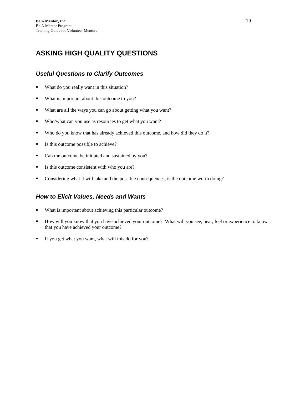## **ASKING HIGH QUALITY QUESTIONS**

### *Useful Questions to Clarify Outcomes*

- What do you really want in this situation?
- What is important about this outcome to you?
- What are all the ways you can go about getting what you want?
- Who/what can you use as resources to get what you want?
- Who do you know that has already achieved this outcome, and how did they do it?
- Is this outcome possible to achieve?
- Can the outcome be initiated and sustained by you?
- Is this outcome consistent with who you are?
- Considering what it will take and the possible consequences, is the outcome worth doing?

### *How to Elicit Values, Needs and Wants*

- What is important about achieving this particular outcome?
- How will you know that you have achieved your outcome? What will you see, hear, feel or experience to know that you have achieved your outcome?
- If you get what you want, what will this do for you?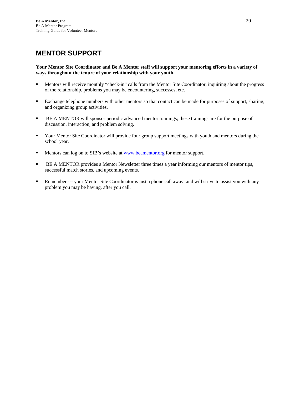## **MENTOR SUPPORT**

#### **Your Mentor Site Coordinator and Be A Mentor staff will support your mentoring efforts in a variety of ways throughout the tenure of your relationship with your youth.**

- Mentors will receive monthly "check-in" calls from the Mentor Site Coordinator, inquiring about the progress of the relationship, problems you may be encountering, successes, etc.
- Exchange telephone numbers with other mentors so that contact can be made for purposes of support, sharing, and organizing group activities.
- BE A MENTOR will sponsor periodic advanced mentor trainings; these trainings are for the purpose of discussion, interaction, and problem solving.
- Your Mentor Site Coordinator will provide four group support meetings with youth and mentors during the school year.
- **Mentors can log on to SIB's website at [www.beamentor.org](http://www.beamentor.org/) for mentor support.**
- BE A MENTOR provides a Mentor Newsletter three times a year informing our mentors of mentor tips, successful match stories, and upcoming events.
- Remember --- your Mentor Site Coordinator is just a phone call away, and will strive to assist you with any problem you may be having, after you call.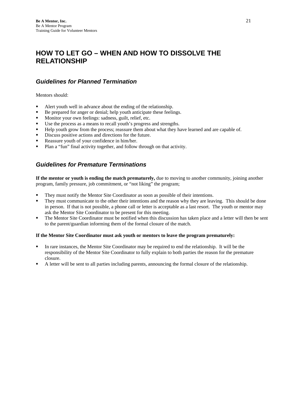## **HOW TO LET GO – WHEN AND HOW TO DISSOLVE THE RELATIONSHIP**

#### *Guidelines for Planned Termination*

Mentors should:

- Alert youth well in advance about the ending of the relationship.
- Be prepared for anger or denial; help youth anticipate these feelings.
- Monitor your own feelings: sadness, guilt, relief, etc.
- Use the process as a means to recall youth's progress and strengths.
- Help youth grow from the process; reassure them about what they have learned and are capable of.
- Discuss positive actions and directions for the future.
- Reassure youth of your confidence in him/her.
- Plan a "fun" final activity together, and follow through on that activity.

### *Guidelines for Premature Terminations*

**If the mentor or youth is ending the match prematurely,** due to moving to another community, joining another program, family pressure, job commitment, or "not liking" the program;

- They must notify the Mentor Site Coordinator as soon as possible of their intentions.
- They must communicate to the other their intentions and the reason why they are leaving. This should be done in person. If that is not possible, a phone call or letter is acceptable as a last resort. The youth or mentor may ask the Mentor Site Coordinator to be present for this meeting.
- The Mentor Site Coordinator must be notified when this discussion has taken place and a letter will then be sent to the parent/guardian informing them of the formal closure of the match.

#### **If the Mentor Site Coordinator must ask youth or mentors to leave the program prematurely:**

- In rare instances, the Mentor Site Coordinator may be required to end the relationship. It will be the responsibility of the Mentor Site Coordinator to fully explain to both parties the reason for the premature closure.
- A letter will be sent to all parties including parents, announcing the formal closure of the relationship.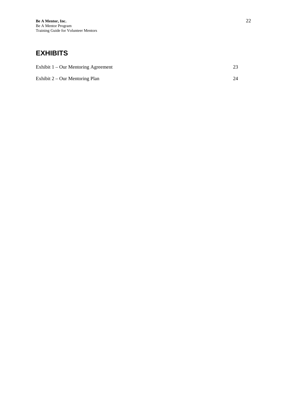## **EXHIBITS**

| Exhibit 1 – Our Mentoring Agreement |  |
|-------------------------------------|--|
|-------------------------------------|--|

Exhibit 2 – Our Mentoring Plan 24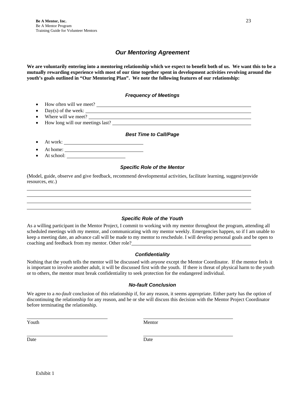### *Our Mentoring Agreement*

**We are voluntarily entering into a mentoring relationship which we expect to benefit both of us. We want this to be a mutually rewarding experience with most of our time together spent in development activities revolving around the youth's goals outlined in "Our Mentoring Plan". We note the following features of our relationship:** 

#### *Frequency of Meetings*

- How often will we meet?
- $Day(s)$  of the week:
- Where will we meet?
- How long will our meetings last?

#### *Best Time to Call/Page*

- At work: <u>example</u> and the set of the set of the set of the set of the set of the set of the set of the set of the set of the set of the set of the set of the set of the set of the set of the set of the set of the set of t
- At home:  $\qquad \qquad$
- At school:

#### *Specific Role of the Mentor*

(Model, guide, observe and give feedback, recommend developmental activities, facilitate learning, suggest/provide resources, etc.)

#### *Specific Role of the Youth*

As a willing participant in the Mentor Project, I commit to working with my mentor throughout the program, attending all scheduled meetings with my mentor, and communicating with my mentor weekly. Emergencies happen, so if I am unable to keep a meeting date, an advance call will be made to my mentor to reschedule. I will develop personal goals and be open to coaching and feedback from my mentor. Other role?

#### *Confidentiality*

Nothing that the youth tells the mentor will be discussed with *anyone* except the Mentor Coordinator. If the mentor feels it is important to involve another adult, it will be discussed first with the youth. If there is threat of physical harm to the youth or to others, the mentor must break confidentiality to seek protection for the endangered individual.

#### *No-fault Conclusion*

We agree to a *no-fault* conclusion of this relationship if, for any reason, it seems appropriate. Either party has the option of discontinuing the relationship for any reason, and he or she will discuss this decision with the Mentor Project Coordinator before terminating the relationship.

l

 $\overline{a}$ 

l

Youth Mentor

Date Date Date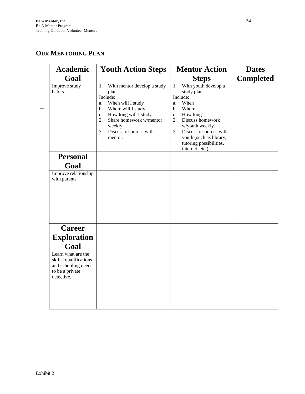## **OUR MENTORING PLAN**

| <b>Academic</b>                                                                                      | <b>Youth Action Steps</b>                                                                                                                                                                                                                       | <b>Mentor Action</b>                                                                                                                                                                                                                                                   | <b>Dates</b>     |
|------------------------------------------------------------------------------------------------------|-------------------------------------------------------------------------------------------------------------------------------------------------------------------------------------------------------------------------------------------------|------------------------------------------------------------------------------------------------------------------------------------------------------------------------------------------------------------------------------------------------------------------------|------------------|
| Goal                                                                                                 |                                                                                                                                                                                                                                                 | <b>Steps</b>                                                                                                                                                                                                                                                           | <b>Completed</b> |
| Improve study<br>habits.                                                                             | With mentor develop a study<br>1.<br>plan.<br>Include:<br>When will I study<br>a.<br>Where will I study<br>b.<br>How long will I study<br>$\mathbf{c}$ .<br>2.<br>Share homework w/mentor<br>weekly.<br>Discuss resources with<br>3.<br>mentor. | With youth develop a<br>1.<br>study plan.<br>Include:<br>When<br>a.<br>Where<br>$\mathbf b$ .<br>How long<br>c.<br>2.<br>Discuss homework<br>w/youth weekly.<br>Discuss resources with<br>3.<br>youth (such as library,<br>tutoring possibilities,<br>internet, etc.). |                  |
| <b>Personal</b><br>Goal                                                                              |                                                                                                                                                                                                                                                 |                                                                                                                                                                                                                                                                        |                  |
| Improve relationship<br>with parents.                                                                |                                                                                                                                                                                                                                                 |                                                                                                                                                                                                                                                                        |                  |
| <b>Career</b><br><b>Exploration</b><br>Goal                                                          |                                                                                                                                                                                                                                                 |                                                                                                                                                                                                                                                                        |                  |
| Learn what are the<br>skills, qualifications<br>and schooling needs<br>to be a private<br>detective. |                                                                                                                                                                                                                                                 |                                                                                                                                                                                                                                                                        |                  |